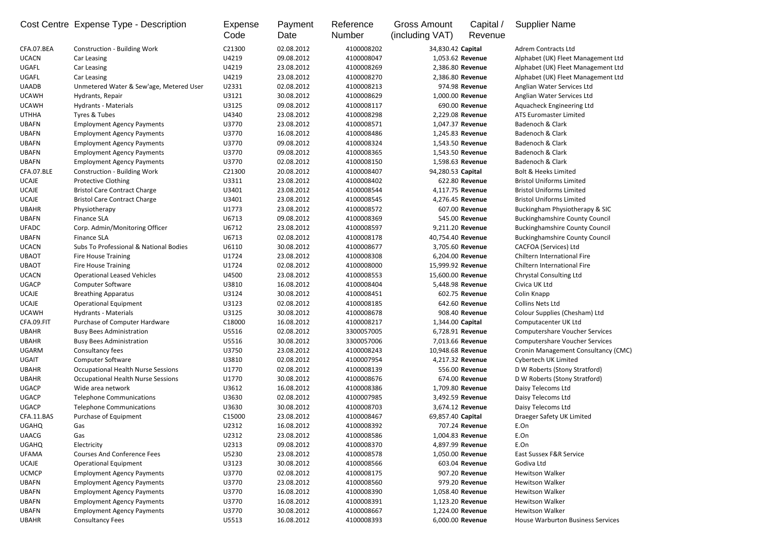|              | Cost Centre Expense Type - Description    | Expense<br>Code | Payment<br>Date | Reference<br><b>Number</b> | <b>Gross Amount</b><br>(including VAT) | Capital /<br>Revenue | <b>Supplier Name</b>                  |
|--------------|-------------------------------------------|-----------------|-----------------|----------------------------|----------------------------------------|----------------------|---------------------------------------|
| CFA.07.BEA   | <b>Construction - Building Work</b>       | C21300          | 02.08.2012      | 4100008202                 | 34,830.42 Capital                      |                      | <b>Adrem Contracts Ltd</b>            |
| <b>UCACN</b> | Car Leasing                               | U4219           | 09.08.2012      | 4100008047                 |                                        | 1,053.62 Revenue     | Alphabet (UK) Fleet Management Ltd    |
| UGAFL        | Car Leasing                               | U4219           | 23.08.2012      | 4100008269                 |                                        | 2,386.80 Revenue     | Alphabet (UK) Fleet Management Ltd    |
| UGAFL        | Car Leasing                               | U4219           | 23.08.2012      | 4100008270                 |                                        | 2,386.80 Revenue     | Alphabet (UK) Fleet Management Ltd    |
| <b>UAADB</b> | Unmetered Water & Sew'age, Metered User   | U2331           | 02.08.2012      | 4100008213                 |                                        | 974.98 Revenue       | Anglian Water Services Ltd            |
| <b>UCAWH</b> | Hydrants, Repair                          | U3121           | 30.08.2012      | 4100008629                 |                                        | 1,000.00 Revenue     | Anglian Water Services Ltd            |
| <b>UCAWH</b> | <b>Hydrants - Materials</b>               | U3125           | 09.08.2012      | 4100008117                 |                                        | 690.00 Revenue       | Aquacheck Engineering Ltd             |
| <b>UTHHA</b> | Tyres & Tubes                             | U4340           | 23.08.2012      | 4100008298                 |                                        | 2,229.08 Revenue     | <b>ATS Euromaster Limited</b>         |
| <b>UBAFN</b> | <b>Employment Agency Payments</b>         | U3770           | 23.08.2012      | 4100008571                 |                                        | 1,047.37 Revenue     | Badenoch & Clark                      |
| <b>UBAFN</b> | <b>Employment Agency Payments</b>         | U3770           | 16.08.2012      | 4100008486                 |                                        | 1,245.83 Revenue     | Badenoch & Clark                      |
| <b>UBAFN</b> | <b>Employment Agency Payments</b>         | U3770           | 09.08.2012      | 4100008324                 |                                        | 1,543.50 Revenue     | Badenoch & Clark                      |
| <b>UBAFN</b> | <b>Employment Agency Payments</b>         | U3770           | 09.08.2012      | 4100008365                 |                                        | 1,543.50 Revenue     | Badenoch & Clark                      |
| <b>UBAFN</b> | <b>Employment Agency Payments</b>         | U3770           | 02.08.2012      | 4100008150                 |                                        | 1,598.63 Revenue     | Badenoch & Clark                      |
| CFA.07.BLE   | <b>Construction - Building Work</b>       | C21300          | 20.08.2012      | 4100008407                 | 94,280.53 Capital                      |                      | <b>Bolt &amp; Heeks Limited</b>       |
| <b>UCAJE</b> | <b>Protective Clothing</b>                | U3311           | 23.08.2012      | 4100008402                 |                                        | 622.80 Revenue       | <b>Bristol Uniforms Limited</b>       |
| <b>UCAJE</b> | <b>Bristol Care Contract Charge</b>       | U3401           | 23.08.2012      | 4100008544                 |                                        | 4,117.75 Revenue     | <b>Bristol Uniforms Limited</b>       |
| <b>UCAJE</b> | <b>Bristol Care Contract Charge</b>       | U3401           | 23.08.2012      | 4100008545                 |                                        | 4,276.45 Revenue     | <b>Bristol Uniforms Limited</b>       |
| <b>UBAHR</b> | Physiotherapy                             | U1773           | 23.08.2012      | 4100008572                 |                                        | 607.00 Revenue       | Buckingham Physiotherapy & SIC        |
| <b>UBAFN</b> | <b>Finance SLA</b>                        | U6713           | 09.08.2012      | 4100008369                 |                                        | 545.00 Revenue       | <b>Buckinghamshire County Council</b> |
| <b>UFADC</b> | Corp. Admin/Monitoring Officer            | U6712           | 23.08.2012      | 4100008597                 |                                        | 9,211.20 Revenue     | <b>Buckinghamshire County Council</b> |
| <b>UBAFN</b> | <b>Finance SLA</b>                        | U6713           | 02.08.2012      | 4100008178                 | 40,754.40 Revenue                      |                      | <b>Buckinghamshire County Council</b> |
| <b>UCACN</b> | Subs To Professional & National Bodies    | U6110           | 30.08.2012      | 4100008677                 |                                        | 3,705.60 Revenue     | CACFOA (Services) Ltd                 |
| <b>UBAOT</b> | <b>Fire House Training</b>                | U1724           | 23.08.2012      | 4100008308                 |                                        | 6,204.00 Revenue     | Chiltern International Fire           |
| <b>UBAOT</b> | <b>Fire House Training</b>                | U1724           | 02.08.2012      | 4100008000                 | 15,999.92 Revenue                      |                      | Chiltern International Fire           |
| <b>UCACN</b> | <b>Operational Leased Vehicles</b>        | U4500           | 23.08.2012      | 4100008553                 | 15,600.00 Revenue                      |                      | <b>Chrystal Consulting Ltd</b>        |
| <b>UGACP</b> | <b>Computer Software</b>                  | U3810           | 16.08.2012      | 4100008404                 |                                        | 5,448.98 Revenue     | Civica UK Ltd                         |
| <b>UCAJE</b> | <b>Breathing Apparatus</b>                | U3124           | 30.08.2012      | 4100008451                 |                                        | 602.75 Revenue       | Colin Knapp                           |
| <b>UCAJE</b> | <b>Operational Equipment</b>              | U3123           | 02.08.2012      | 4100008185                 |                                        | 642.60 Revenue       | <b>Collins Nets Ltd</b>               |
| <b>UCAWH</b> | <b>Hydrants - Materials</b>               | U3125           | 30.08.2012      | 4100008678                 |                                        | 908.40 Revenue       | Colour Supplies (Chesham) Ltd         |
| CFA.09.FIT   | Purchase of Computer Hardware             | C18000          | 16.08.2012      | 4100008217                 | 1,344.00 Capital                       |                      | Computacenter UK Ltd                  |
| <b>UBAHR</b> | <b>Busy Bees Administration</b>           | U5516           | 02.08.2012      | 3300057005                 |                                        | 6,728.91 Revenue     | <b>Computershare Voucher Services</b> |
| <b>UBAHR</b> | <b>Busy Bees Administration</b>           | U5516           | 30.08.2012      | 3300057006                 |                                        | 7,013.66 Revenue     | <b>Computershare Voucher Services</b> |
| <b>UGARM</b> | Consultancy fees                          | U3750           | 23.08.2012      | 4100008243                 | 10,948.68 Revenue                      |                      | Cronin Management Consultancy (CMC)   |
| UGAIT        | <b>Computer Software</b>                  | U3810           | 02.08.2012      | 4100007954                 |                                        | 4,217.32 Revenue     | Cybertech UK Limited                  |
| <b>UBAHR</b> | <b>Occupational Health Nurse Sessions</b> | U1770           | 02.08.2012      | 4100008139                 |                                        | 556.00 Revenue       | D W Roberts (Stony Stratford)         |
| <b>UBAHR</b> | <b>Occupational Health Nurse Sessions</b> | U1770           | 30.08.2012      | 4100008676                 |                                        | 674.00 Revenue       | D W Roberts (Stony Stratford)         |
| <b>UGACP</b> | Wide area network                         | U3612           | 16.08.2012      | 4100008386                 |                                        | 1,709.80 Revenue     | Daisy Telecoms Ltd                    |
| <b>UGACP</b> | <b>Telephone Communications</b>           | U3630           | 02.08.2012      | 4100007985                 |                                        | 3,492.59 Revenue     | Daisy Telecoms Ltd                    |
| <b>UGACP</b> | <b>Telephone Communications</b>           | U3630           | 30.08.2012      | 4100008703                 |                                        | 3,674.12 Revenue     | Daisy Telecoms Ltd                    |
| CFA.11.BAS   | Purchase of Equipment                     | C15000          | 23.08.2012      | 4100008467                 | 69,857.40 Capital                      |                      | Draeger Safety UK Limited             |
| <b>UGAHQ</b> | Gas                                       | U2312           | 16.08.2012      | 4100008392                 |                                        | 707.24 Revenue       | E.On                                  |
| <b>UAACG</b> | Gas                                       | U2312           | 23.08.2012      | 4100008586                 |                                        | 1,004.83 Revenue     | E.On                                  |
| <b>UGAHQ</b> | Electricity                               | U2313           | 09.08.2012      | 4100008370                 |                                        | 4,897.99 Revenue     | E.On                                  |
| <b>UFAMA</b> | <b>Courses And Conference Fees</b>        | U5230           | 23.08.2012      | 4100008578                 |                                        | 1,050.00 Revenue     | <b>East Sussex F&amp;R Service</b>    |
| <b>UCAJE</b> | <b>Operational Equipment</b>              | U3123           | 30.08.2012      | 4100008566                 |                                        | 603.04 Revenue       | Godiva Ltd                            |
| <b>UCMCP</b> | <b>Employment Agency Payments</b>         | U3770           | 02.08.2012      | 4100008175                 |                                        | 907.20 Revenue       | <b>Hewitson Walker</b>                |
| <b>UBAFN</b> | <b>Employment Agency Payments</b>         | U3770           | 23.08.2012      | 4100008560                 |                                        | 979.20 Revenue       | <b>Hewitson Walker</b>                |
| <b>UBAFN</b> | <b>Employment Agency Payments</b>         | U3770           | 16.08.2012      | 4100008390                 |                                        | 1,058.40 Revenue     | <b>Hewitson Walker</b>                |
| <b>UBAFN</b> | <b>Employment Agency Payments</b>         | U3770           | 16.08.2012      | 4100008391                 |                                        | 1,123.20 Revenue     | <b>Hewitson Walker</b>                |
| <b>UBAFN</b> | <b>Employment Agency Payments</b>         | U3770           | 30.08.2012      | 4100008667                 |                                        | 1,224.00 Revenue     | <b>Hewitson Walker</b>                |
| <b>UBAHR</b> | <b>Consultancy Fees</b>                   | U5513           | 16.08.2012      | 4100008393                 |                                        | 6,000.00 Revenue     | House Warburton Business Services     |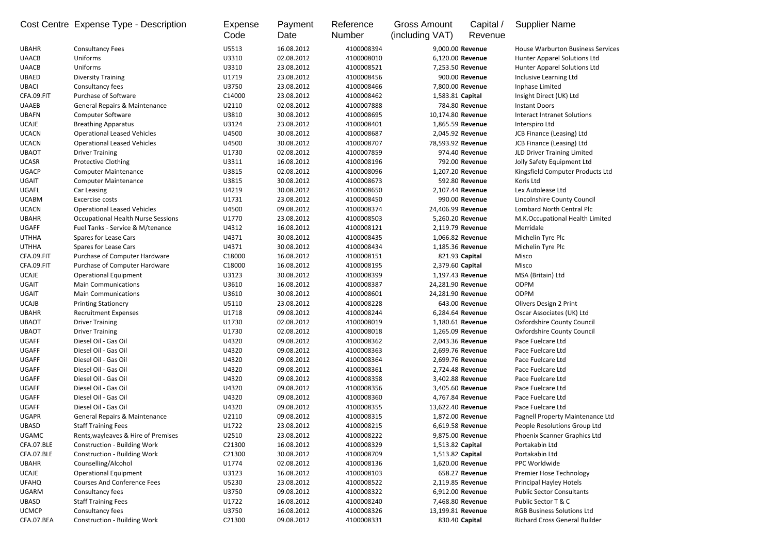|              | Cost Centre Expense Type - Description    | Expense<br>Code | Payment<br>Date | Reference<br><b>Number</b> | <b>Gross Amount</b><br>(including VAT) | Capital /<br>Revenue | <b>Supplier Name</b>                     |
|--------------|-------------------------------------------|-----------------|-----------------|----------------------------|----------------------------------------|----------------------|------------------------------------------|
| <b>UBAHR</b> | <b>Consultancy Fees</b>                   | U5513           | 16.08.2012      | 4100008394                 | 9,000.00 Revenue                       |                      | <b>House Warburton Business Services</b> |
| <b>UAACB</b> | Uniforms                                  | U3310           | 02.08.2012      | 4100008010                 | 6,120.00 Revenue                       |                      | Hunter Apparel Solutions Ltd             |
| <b>UAACB</b> | <b>Uniforms</b>                           | U3310           | 23.08.2012      | 4100008521                 | 7,253.50 Revenue                       |                      | Hunter Apparel Solutions Ltd             |
| <b>UBAED</b> | <b>Diversity Training</b>                 | U1719           | 23.08.2012      | 4100008456                 |                                        | 900.00 Revenue       | Inclusive Learning Ltd                   |
| <b>UBACI</b> | Consultancy fees                          | U3750           | 23.08.2012      | 4100008466                 | 7,800.00 Revenue                       |                      | Inphase Limited                          |
| CFA.09.FIT   | Purchase of Software                      | C14000          | 23.08.2012      | 4100008462                 | 1,583.81 Capital                       |                      | Insight Direct (UK) Ltd                  |
| <b>UAAEB</b> | <b>General Repairs &amp; Maintenance</b>  | U2110           | 02.08.2012      | 4100007888                 |                                        | 784.80 Revenue       | <b>Instant Doors</b>                     |
| <b>UBAFN</b> | <b>Computer Software</b>                  | U3810           | 30.08.2012      | 4100008695                 | 10,174.80 Revenue                      |                      | <b>Interact Intranet Solutions</b>       |
| <b>UCAJE</b> | <b>Breathing Apparatus</b>                | U3124           | 23.08.2012      | 4100008401                 | 1,865.59 Revenue                       |                      | Interspiro Ltd                           |
| <b>UCACN</b> | <b>Operational Leased Vehicles</b>        | U4500           | 30.08.2012      | 4100008687                 | 2,045.92 Revenue                       |                      | JCB Finance (Leasing) Ltd                |
| <b>UCACN</b> | <b>Operational Leased Vehicles</b>        | U4500           | 30.08.2012      | 4100008707                 | 78,593.92 Revenue                      |                      | <b>JCB Finance (Leasing) Ltd</b>         |
| <b>UBAOT</b> | <b>Driver Training</b>                    | U1730           | 02.08.2012      | 4100007859                 |                                        | 974.40 Revenue       | JLD Driver Training Limited              |
| <b>UCASR</b> | <b>Protective Clothing</b>                | U3311           | 16.08.2012      | 4100008196                 |                                        | 792.00 Revenue       | Jolly Safety Equipment Ltd               |
| <b>UGACP</b> | <b>Computer Maintenance</b>               | U3815           | 02.08.2012      | 4100008096                 | 1,207.20 Revenue                       |                      | Kingsfield Computer Products Ltd         |
| <b>UGAIT</b> | <b>Computer Maintenance</b>               | U3815           | 30.08.2012      | 4100008673                 |                                        | 592.80 Revenue       | Koris Ltd                                |
| UGAFL        | Car Leasing                               | U4219           | 30.08.2012      | 4100008650                 | 2,107.44 Revenue                       |                      | Lex Autolease Ltd                        |
| <b>UCABM</b> | Excercise costs                           | U1731           | 23.08.2012      | 4100008450                 |                                        | 990.00 Revenue       | Lincolnshire County Council              |
| <b>UCACN</b> | <b>Operational Leased Vehicles</b>        | U4500           | 09.08.2012      | 4100008374                 | 24,406.99 Revenue                      |                      | Lombard North Central Plc                |
| <b>UBAHR</b> | <b>Occupational Health Nurse Sessions</b> | U1770           | 23.08.2012      | 4100008503                 | 5,260.20 Revenue                       |                      | M.K.Occupational Health Limited          |
| <b>UGAFF</b> | Fuel Tanks - Service & M/tenance          | U4312           | 16.08.2012      | 4100008121                 | 2,119.79 Revenue                       |                      | Merridale                                |
| <b>UTHHA</b> | Spares for Lease Cars                     | U4371           | 30.08.2012      | 4100008435                 | 1,066.82 Revenue                       |                      | Michelin Tyre Plc                        |
| <b>UTHHA</b> | Spares for Lease Cars                     | U4371           | 30.08.2012      | 4100008434                 | 1,185.36 Revenue                       |                      | Michelin Tyre Plc                        |
| CFA.09.FIT   | Purchase of Computer Hardware             | C18000          | 16.08.2012      | 4100008151                 |                                        | 821.93 Capital       | Misco                                    |
| CFA.09.FIT   | Purchase of Computer Hardware             | C18000          | 16.08.2012      | 4100008195                 | 2,379.60 Capital                       |                      | Misco                                    |
| <b>UCAJE</b> | <b>Operational Equipment</b>              | U3123           | 30.08.2012      | 4100008399                 |                                        | 1,197.43 Revenue     | MSA (Britain) Ltd                        |
| <b>UGAIT</b> | <b>Main Communications</b>                | U3610           | 16.08.2012      | 4100008387                 | 24,281.90 Revenue                      |                      | <b>ODPM</b>                              |
| <b>UGAIT</b> | <b>Main Communications</b>                | U3610           | 30.08.2012      | 4100008601                 | 24,281.90 Revenue                      |                      | <b>ODPM</b>                              |
| <b>UCAJB</b> | <b>Printing Stationery</b>                | U5110           | 23.08.2012      | 4100008228                 |                                        | 643.00 Revenue       | <b>Olivers Design 2 Print</b>            |
| <b>UBAHR</b> | <b>Recruitment Expenses</b>               | U1718           | 09.08.2012      | 4100008244                 | 6,284.64 Revenue                       |                      | Oscar Associates (UK) Ltd                |
| <b>UBAOT</b> | <b>Driver Training</b>                    | U1730           | 02.08.2012      | 4100008019                 |                                        | 1,180.61 Revenue     | <b>Oxfordshire County Council</b>        |
| <b>UBAOT</b> | <b>Driver Training</b>                    | U1730           | 02.08.2012      | 4100008018                 |                                        | 1,265.09 Revenue     | <b>Oxfordshire County Council</b>        |
| <b>UGAFF</b> | Diesel Oil - Gas Oil                      | U4320           | 09.08.2012      | 4100008362                 |                                        | 2,043.36 Revenue     | Pace Fuelcare Ltd                        |
| <b>UGAFF</b> | Diesel Oil - Gas Oil                      | U4320           | 09.08.2012      | 4100008363                 |                                        | 2,699.76 Revenue     | Pace Fuelcare Ltd                        |
| <b>UGAFF</b> | Diesel Oil - Gas Oil                      | U4320           | 09.08.2012      | 4100008364                 |                                        | 2,699.76 Revenue     | Pace Fuelcare Ltd                        |
| <b>UGAFF</b> | Diesel Oil - Gas Oil                      | U4320           | 09.08.2012      | 4100008361                 |                                        | 2,724.48 Revenue     | Pace Fuelcare Ltd                        |
| <b>UGAFF</b> | Diesel Oil - Gas Oil                      | U4320           | 09.08.2012      | 4100008358                 |                                        | 3,402.88 Revenue     | Pace Fuelcare Ltd                        |
| <b>UGAFF</b> | Diesel Oil - Gas Oil                      | U4320           | 09.08.2012      | 4100008356                 |                                        | 3,405.60 Revenue     | Pace Fuelcare Ltd                        |
| <b>UGAFF</b> | Diesel Oil - Gas Oil                      | U4320           | 09.08.2012      | 4100008360                 |                                        | 4,767.84 Revenue     | Pace Fuelcare Ltd                        |
| <b>UGAFF</b> | Diesel Oil - Gas Oil                      | U4320           | 09.08.2012      | 4100008355                 | 13,622.40 Revenue                      |                      | Pace Fuelcare Ltd                        |
| <b>UGAPR</b> | <b>General Repairs &amp; Maintenance</b>  | U2110           | 09.08.2012      | 4100008315                 |                                        | 1,872.00 Revenue     | Pagnell Property Maintenance Ltd         |
| <b>UBASD</b> | <b>Staff Training Fees</b>                | U1722           | 23.08.2012      | 4100008215                 |                                        | 6,619.58 Revenue     | People Resolutions Group Ltd             |
| <b>UGAMC</b> | Rents, wayleaves & Hire of Premises       | U2510           | 23.08.2012      | 4100008222                 |                                        | 9,875.00 Revenue     | Phoenix Scanner Graphics Ltd             |
| CFA.07.BLE   | <b>Construction - Building Work</b>       | C21300          | 16.08.2012      | 4100008329                 | 1,513.82 Capital                       |                      | Portakabin Ltd                           |
| CFA.07.BLE   | <b>Construction - Building Work</b>       | C21300          | 30.08.2012      | 4100008709                 | 1,513.82 Capital                       |                      | Portakabin Ltd                           |
| <b>UBAHR</b> | Counselling/Alcohol                       | U1774           | 02.08.2012      | 4100008136                 |                                        | 1,620.00 Revenue     | PPC Worldwide                            |
| <b>UCAJE</b> | <b>Operational Equipment</b>              | U3123           | 16.08.2012      | 4100008103                 |                                        | 658.27 Revenue       | Premier Hose Technology                  |
| <b>UFAHQ</b> | <b>Courses And Conference Fees</b>        | U5230           | 23.08.2012      | 4100008522                 | 2,119.85 Revenue                       |                      | Principal Hayley Hotels                  |
| <b>UGARM</b> | Consultancy fees                          | U3750           | 09.08.2012      | 4100008322                 |                                        | 6,912.00 Revenue     | <b>Public Sector Consultants</b>         |
| <b>UBASD</b> | <b>Staff Training Fees</b>                | U1722           | 16.08.2012      | 4100008240                 |                                        | 7,468.80 Revenue     | Public Sector T & C                      |
| <b>UCMCP</b> | Consultancy fees                          | U3750           | 16.08.2012      | 4100008326                 | 13,199.81 Revenue                      |                      | <b>RGB Business Solutions Ltd</b>        |
| CFA.07.BEA   | <b>Construction - Building Work</b>       | C21300          | 09.08.2012      | 4100008331                 |                                        | 830.40 Capital       | Richard Cross General Builder            |